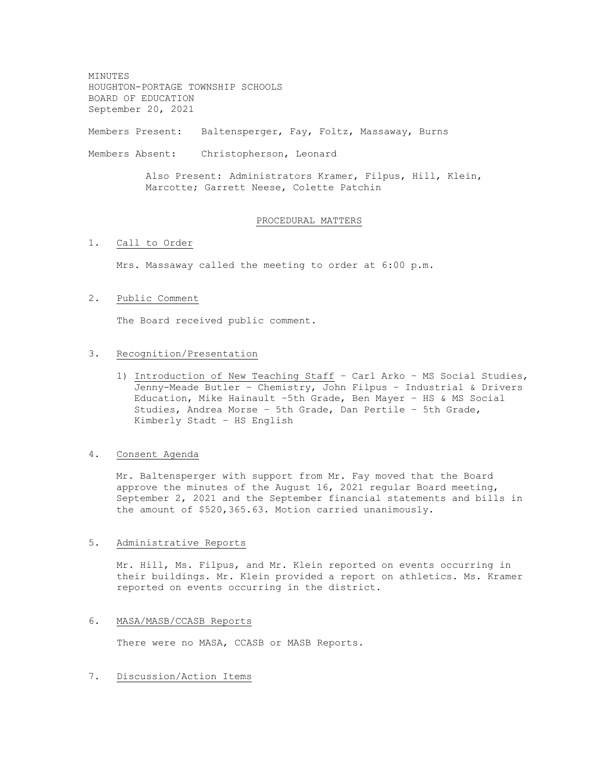MINUTES HOUGHTON-PORTAGE TOWNSHIP SCHOOLS BOARD OF EDUCATION September 20, 2021

Members Present: Baltensperger, Fay, Foltz, Massaway, Burns

Members Absent: Christopherson, Leonard

Also Present: Administrators Kramer, Filpus, Hill, Klein, Marcotte; Garrett Neese, Colette Patchin

#### PROCEDURAL MATTERS

# 1. Call to Order

Mrs. Massaway called the meeting to order at 6:00 p.m.

## 2. Public Comment

The Board received public comment.

#### 3. Recognition/Presentation

1) Introduction of New Teaching Staff – Carl Arko – MS Social Studies, Jenny-Meade Butler – Chemistry, John Filpus – Industrial & Drivers Education, Mike Hainault –5th Grade, Ben Mayer – HS & MS Social Studies, Andrea Morse – 5th Grade, Dan Pertile – 5th Grade, Kimberly Stadt – HS English

4. Consent Agenda

Mr. Baltensperger with support from Mr. Fay moved that the Board approve the minutes of the August 16, 2021 regular Board meeting, September 2, 2021 and the September financial statements and bills in the amount of \$520,365.63. Motion carried unanimously.

#### 5. Administrative Reports

Mr. Hill, Ms. Filpus, and Mr. Klein reported on events occurring in their buildings. Mr. Klein provided a report on athletics. Ms. Kramer reported on events occurring in the district.

## 6. MASA/MASB/CCASB Reports

There were no MASA, CCASB or MASB Reports.

### 7. Discussion/Action Items